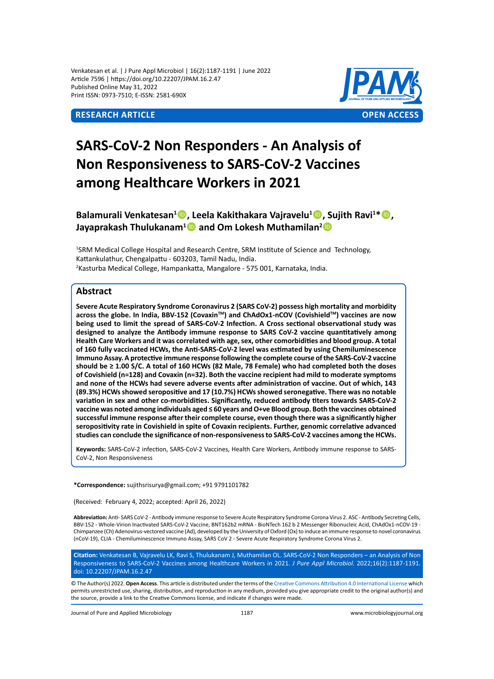Venkatesan et al. | J Pure Appl Microbiol | 16(2):1187-1191 | June 2022 Article 7596 | https://doi.org/10.22207/JPAM.16.2.47 Published Online May 31, 2022 Print ISSN: 0973-7510; E-ISSN: 2581-690X



# **SARS-CoV-2 Non Responders - An Analysis of Non Responsiveness to SARS-CoV-2 Vaccines among Healthcare Workers in 2021**

Balamurali Venkatesan<sup>1</sup><sup>®</sup>, Leela Kakithakara Vajravelu<sup>1</sup><sup>®</sup>, Sujith Ravi<sup>1\*</sup><sup>®</sup>, **Jayaprakash Thulukanam<sup>1</sup>D and Om Lokesh Muthamilan<sup>2</sup>D** 

1 SRM Medical College Hospital and Research Centre, SRM Institute of Science and Technology, Kattankulathur, Chengalpattu - 603203, Tamil Nadu, India. 2 Kasturba Medical College, Hampankatta, Mangalore - 575 001, Karnataka, India.

#### **Abstract**

**Severe Acute Respiratory Syndrome Coronavirus 2 (SARS CoV-2) possess high mortality and morbidity**  across the globe. In India, BBV-152 (Covaxin™) and ChAdOx1-nCOV (Covishield™) vaccines are now **being used to limit the spread of SARS-CoV-2 Infection. A Cross sectional observational study was designed to analyze the Antibody immune response to SARS CoV-2 vaccine quantitatively among Health Care Workers and it was correlated with age, sex, other comorbidities and blood group. A total of 160 fully vaccinated HCWs, the Anti-SARS-CoV-2 level was estimated by using Chemiluminescence Immuno Assay. A protective immune response following the complete course of the SARS-CoV-2 vaccine should be ≥ 1.00 S/C. A total of 160 HCWs (82 Male, 78 Female) who had completed both the doses of Covishield (n=128) and Covaxin (n=32). Both the vaccine recipient had mild to moderate symptoms and none of the HCWs had severe adverse events after administration of vaccine. Out of which, 143 (89.3%) HCWs showed seropositive and 17 (10.7%) HCWs showed seronegative. There was no notable variation in sex and other co-morbidities. Significantly, reduced antibody titers towards SARS-CoV-2 vaccine was noted among individuals aged ≤ 60 years and O+ve Blood group. Both the vaccines obtained successful immune response after their complete course, even though there was a significantly higher seropositivity rate in Covishield in spite of Covaxin recipients. Further, genomic correlative advanced studies can conclude the significance of non-responsiveness to SARS-CoV-2 vaccines among the HCWs.** 

**Keywords:** SARS-CoV-2 infection, SARS-CoV-2 Vaccines, Health Care Workers, Antibody immune response to SARS-CoV-2, Non Responsiveness

**\*Correspondence:** sujithsrisurya@gmail.com; +91 9791101782

(Received: February 4, 2022; accepted: April 26, 2022)

**Abbreviation:** Anti- SARS CoV-2 - Antibody immune response to Severe Acute Respiratory Syndrome Corona Virus 2. ASC - Antibody Secreting Cells, BBV-152 - Whole-Virion Inactivated SARS-CoV-2 Vaccine, BNT162b2 mRNA - BioNTech 162 b 2 Messenger Ribonucleic Acid, ChAdOx1-nCOV-19 - Chimpanzee (Ch) Adenovirus-vectored vaccine (Ad), developed by the University of Oxford (Ox) to induce an immune response to novel coronavirus (nCoV-19), CLIA - Chemiluminescence Immuno Assay, SARS CoV 2 - Severe Acute Respiratory Syndrome Corona Virus 2.

**Citation:** Venkatesan B, Vajravelu LK, Ravi S, Thulukanam J, Muthamilan OL. SARS-CoV-2 Non Responders – an Analysis of Non Responsiveness to SARS-CoV-2 Vaccines among Healthcare Workers in 2021. *J Pure Appl Microbiol.* 2022;16(2):1187-1191. doi: 10.22207/JPAM.16.2.47

© The Author(s) 2022. **Open Access**. This article is distributed under the terms of the [Creative Commons Attribution 4.0 International License](https://creativecommons.org/licenses/by/4.0/) which permits unrestricted use, sharing, distribution, and reproduction in any medium, provided you give appropriate credit to the original author(s) and the source, provide a link to the Creative Commons license, and indicate if changes were made.

Journal of Pure and Applied Microbiology 1187 www.microbiologyjournal.org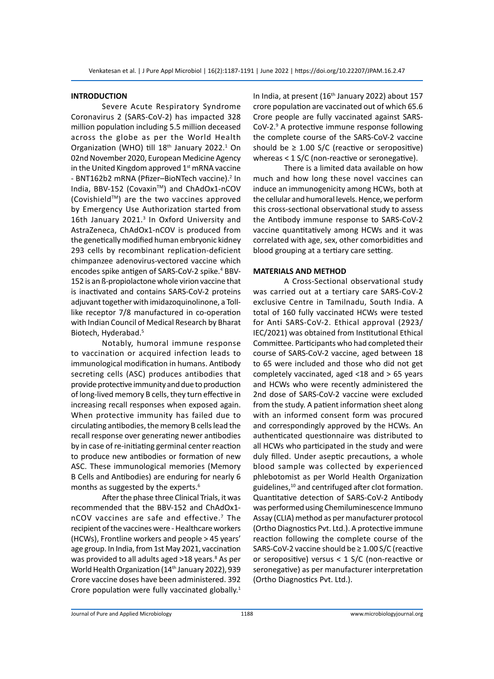#### **INTRODUCTION**

Severe Acute Respiratory Syndrome Coronavirus 2 (SARS-CoV-2) has impacted 328 million population including 5.5 million deceased across the globe as per the World Health Organization (WHO) till  $18<sup>th</sup>$  January 2022.<sup>1</sup> On 02nd November 2020, European Medicine Agency in the United Kingdom approved 1<sup>st</sup> mRNA vaccine - BNT162b2 mRNA (Pfizer-BioNTech vaccine).<sup>2</sup> In India, BBV-152 (Covaxin™) and ChAdOx1-nCOV  $(Covishield<sup>TM</sup>)$  are the two vaccines approved by Emergency Use Authorization started from 16th January 2021.<sup>3</sup> In Oxford University and AstraZeneca, ChAdOx1-nCOV is produced from the genetically modified human embryonic kidney 293 cells by recombinant replication-deficient chimpanzee adenovirus-vectored vaccine which encodes spike antigen of SARS-CoV-2 spike.<sup>4</sup> BBV-152 is an ß-propiolactone whole virion vaccine that is inactivated and contains SARS-CoV-2 proteins adjuvant together with imidazoquinolinone, a Tolllike receptor 7/8 manufactured in co-operation with Indian Council of Medical Research by Bharat Biotech, Hyderabad.5

Notably, humoral immune response to vaccination or acquired infection leads to immunological modification in humans. Antibody secreting cells (ASC) produces antibodies that provide protective immunity and due to production of long-lived memory B cells, they turn effective in increasing recall responses when exposed again. When protective immunity has failed due to circulating antibodies, the memory B cells lead the recall response over generating newer antibodies by in case of re-initiating germinal center reaction to produce new antibodies or formation of new ASC. These immunological memories (Memory B Cells and Antibodies) are enduring for nearly 6 months as suggested by the experts.<sup>6</sup>

After the phase three Clinical Trials, it was recommended that the BBV-152 and ChAdOx1 nCOV vaccines are safe and effective.<sup>7</sup> The recipient of the vaccines were - Healthcare workers (HCWs), Frontline workers and people > 45 years' age group. In India, from 1st May 2021, vaccination was provided to all adults aged >18 years.<sup>8</sup> As per World Health Organization (14<sup>th</sup> January 2022), 939 Crore vaccine doses have been administered. 392 Crore population were fully vaccinated globally.<sup>1</sup>

In India, at present (16<sup>th</sup> January 2022) about 157 crore population are vaccinated out of which 65.6 Crore people are fully vaccinated against SARS-CoV-2.<sup>9</sup> A protective immune response following the complete course of the SARS-CoV-2 vaccine should be  $\geq$  1.00 S/C (reactive or seropositive) whereas < 1 S/C (non-reactive or seronegative).

There is a limited data available on how much and how long these novel vaccines can induce an immunogenicity among HCWs, both at the cellular and humoral levels. Hence, we perform this cross-sectional observational study to assess the Antibody immune response to SARS-CoV-2 vaccine quantitatively among HCWs and it was correlated with age, sex, other comorbidities and blood grouping at a tertiary care setting.

#### **MATERIALS AND METHOD**

A Cross-Sectional observational study was carried out at a tertiary care SARS-CoV-2 exclusive Centre in Tamilnadu, South India. A total of 160 fully vaccinated HCWs were tested for Anti SARS-CoV-2. Ethical approval (2923/ IEC/2021) was obtained from Institutional Ethical Committee. Participants who had completed their course of SARS-CoV-2 vaccine, aged between 18 to 65 were included and those who did not get completely vaccinated, aged <18 and > 65 years and HCWs who were recently administered the 2nd dose of SARS-CoV-2 vaccine were excluded from the study. A patient information sheet along with an informed consent form was procured and correspondingly approved by the HCWs. An authenticated questionnaire was distributed to all HCWs who participated in the study and were duly filled. Under aseptic precautions, a whole blood sample was collected by experienced phlebotomist as per World Health Organization guidelines,10 and centrifuged after clot formation. Quantitative detection of SARS-CoV-2 Antibody was performed using Chemiluminescence Immuno Assay (CLIA) method as per manufacturer protocol (Ortho Diagnostics Pvt. Ltd.). A protective immune reaction following the complete course of the SARS-CoV-2 vaccine should be ≥ 1.00 S/C (reactive or seropositive) versus < 1 S/C (non-reactive or seronegative) as per manufacturer interpretation (Ortho Diagnostics Pvt. Ltd.).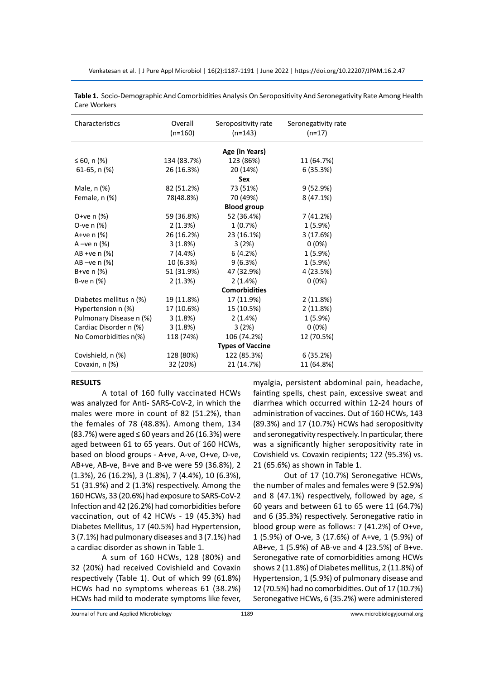Venkatesan et al. | J Pure Appl Microbiol | 16(2):1187-1191 | June 2022 | https://doi.org/10.22207/JPAM.16.2.47

| Characteristics         | Overall<br>$(n=160)$ | Seropositivity rate<br>$(n=143)$ | Seronegativity rate<br>$(n=17)$ |  |
|-------------------------|----------------------|----------------------------------|---------------------------------|--|
|                         |                      | Age (in Years)                   |                                 |  |
| ≤ 60, n $(%$ )          | 134 (83.7%)          | 123 (86%)                        | 11 (64.7%)                      |  |
| 61-65, $n$ (%)          | 26 (16.3%)           | 20 (14%)                         | 6(35.3%)                        |  |
|                         |                      | <b>Sex</b>                       |                                 |  |
| Male, n (%)             | 82 (51.2%)           | 73 (51%)                         | 9(52.9%)                        |  |
| Female, n (%)           | 78(48.8%)            | 70 (49%)                         | 8(47.1%)                        |  |
|                         |                      | <b>Blood group</b>               |                                 |  |
| O+ve $n$ (%)            | 59 (36.8%)           | 52 (36.4%)                       | 7 (41.2%)                       |  |
| O-ve $n$ (%)            | 2(1.3%)              | 1(0.7%)                          | $1(5.9\%)$                      |  |
| A+ve $n$ (%)            | 26 (16.2%)           | 23 (16.1%)                       | 3(17.6%)                        |  |
| A $-ve$ n $(%)$         | 3(1.8%)              | 3(2%)                            | $0(0\%)$                        |  |
| AB +ve n (%)            | 7(4.4%)              | 6(4.2%)                          | 1(5.9%)                         |  |
| $AB - ve n$ (%)         | 10 (6.3%)            | 9(6.3%)                          | 1(5.9%)                         |  |
| B+ve $n$ (%)            | 51 (31.9%)           | 47 (32.9%)                       | 4 (23.5%)                       |  |
| B-ve $n$ $(\%)$         | 2(1.3%)              | 2(1.4%)                          | $0(0\%)$                        |  |
|                         |                      | <b>Comorbidities</b>             |                                 |  |
| Diabetes mellitus n (%) | 19 (11.8%)           | 17 (11.9%)                       | 2(11.8%)                        |  |
| Hypertension n (%)      | 17 (10.6%)           | 15 (10.5%)                       | 2(11.8%)                        |  |
| Pulmonary Disease n (%) | 3(1.8%)              | 2(1.4%)                          | $1(5.9\%)$                      |  |
| Cardiac Disorder n (%)  | 3(1.8%)              | 3(2%)                            | $0(0\%)$                        |  |
| No Comorbidities n(%)   | 118 (74%)            | 106 (74.2%)                      | 12 (70.5%)                      |  |
|                         |                      | <b>Types of Vaccine</b>          |                                 |  |
| Covishield, n (%)       | 128 (80%)            | 122 (85.3%)                      | 6(35.2%)                        |  |
| Covaxin, n (%)          | 32 (20%)             | 21 (14.7%)                       | 11 (64.8%)                      |  |

| Table 1. Socio-Demographic And Comorbidities Analysis On Seropositivity And Seronegativity Rate Among Health |
|--------------------------------------------------------------------------------------------------------------|
| Care Workers                                                                                                 |

#### **RESULTS**

A total of 160 fully vaccinated HCWs was analyzed for Anti- SARS-CoV-2, in which the males were more in count of 82 (51.2%), than the females of 78 (48.8%). Among them, 134 (83.7%) were aged ≤ 60 years and 26 (16.3%) were aged between 61 to 65 years. Out of 160 HCWs, based on blood groups - A+ve, A-ve, O+ve, O-ve, AB+ve, AB-ve, B+ve and B-ve were 59 (36.8%), 2 (1.3%), 26 (16.2%), 3 (1.8%), 7 (4.4%), 10 (6.3%), 51 (31.9%) and 2 (1.3%) respectively. Among the 160 HCWs, 33 (20.6%) had exposure to SARS-CoV-2 Infection and 42 (26.2%) had comorbidities before vaccination, out of 42 HCWs - 19 (45.3%) had Diabetes Mellitus, 17 (40.5%) had Hypertension, 3 (7.1%) had pulmonary diseases and 3 (7.1%) had a cardiac disorder as shown in Table 1.

A sum of 160 HCWs, 128 (80%) and 32 (20%) had received Covishield and Covaxin respectively (Table 1). Out of which 99 (61.8%) HCWs had no symptoms whereas 61 (38.2%) HCWs had mild to moderate symptoms like fever, myalgia, persistent abdominal pain, headache, fainting spells, chest pain, excessive sweat and diarrhea which occurred within 12-24 hours of administration of vaccines. Out of 160 HCWs, 143 (89.3%) and 17 (10.7%) HCWs had seropositivity and seronegativity respectively. In particular, there was a significantly higher seropositivity rate in Covishield vs. Covaxin recipients; 122 (95.3%) vs. 21 (65.6%) as shown in Table 1.

Out of 17 (10.7%) Seronegative HCWs, the number of males and females were 9 (52.9%) and 8 (47.1%) respectively, followed by age,  $\leq$ 60 years and between 61 to 65 were 11 (64.7%) and 6 (35.3%) respectively. Seronegative ratio in blood group were as follows: 7 (41.2%) of O+ve, 1 (5.9%) of O-ve, 3 (17.6%) of A+ve, 1 (5.9%) of AB+ve, 1 (5.9%) of AB-ve and 4 (23.5%) of B+ve. Seronegative rate of comorbidities among HCWs shows 2 (11.8%) of Diabetes mellitus, 2 (11.8%) of Hypertension, 1 (5.9%) of pulmonary disease and 12 (70.5%) had no comorbidities. Out of 17 (10.7%) Seronegative HCWs, 6 (35.2%) were administered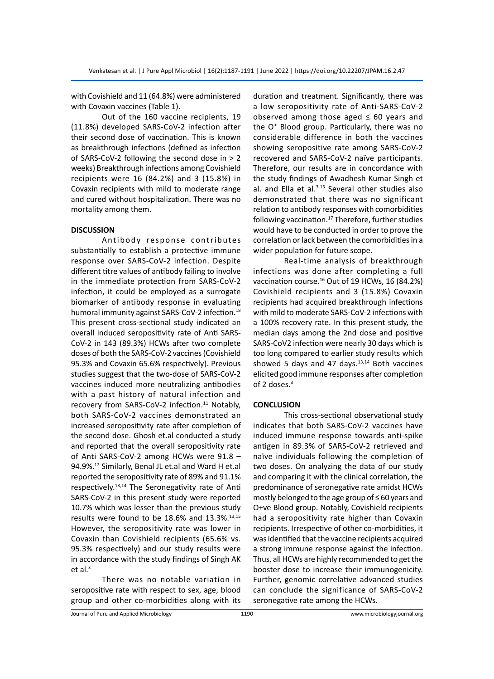with Covishield and 11 (64.8%) were administered with Covaxin vaccines (Table 1).

Out of the 160 vaccine recipients, 19 (11.8%) developed SARS-CoV-2 infection after their second dose of vaccination. This is known as breakthrough infections (defined as infection of SARS-CoV-2 following the second dose in > 2 weeks) Breakthrough infections among Covishield recipients were 16 (84.2%) and 3 (15.8%) in Covaxin recipients with mild to moderate range and cured without hospitalization. There was no mortality among them.

#### **DISCUSSION**

Antibody response contributes substantially to establish a protective immune response over SARS-CoV-2 infection. Despite different titre values of antibody failing to involve in the immediate protection from SARS-CoV-2 infection, it could be employed as a surrogate biomarker of antibody response in evaluating humoral immunity against SARS-CoV-2 infection.<sup>18</sup> This present cross-sectional study indicated an overall induced seropositivity rate of Anti SARS-CoV-2 in 143 (89.3%) HCWs after two complete doses of both the SARS-CoV-2 vaccines (Covishield 95.3% and Covaxin 65.6% respectively). Previous studies suggest that the two-dose of SARS-CoV-2 vaccines induced more neutralizing antibodies with a past history of natural infection and recovery from SARS-CoV-2 infection.<sup>11</sup> Notably, both SARS-CoV-2 vaccines demonstrated an increased seropositivity rate after completion of the second dose. Ghosh et.al conducted a study and reported that the overall seropositivity rate of Anti SARS-CoV-2 among HCWs were 91.8 – 94.9%.<sup>12</sup> Similarly, Benal JL et.al and Ward H et.al reported the seropositivity rate of 89% and 91.1% respectively.13,14 The Seronegativity rate of Anti SARS-CoV-2 in this present study were reported 10.7% which was lesser than the previous study results were found to be  $18.6\%$  and  $13.3\%$ .<sup>13,15</sup> However, the seropositivity rate was lower in Covaxin than Covishield recipients (65.6% vs. 95.3% respectively) and our study results were in accordance with the study findings of Singh AK et al. $3$ 

There was no notable variation in seropositive rate with respect to sex, age, blood group and other co-morbidities along with its duration and treatment. Significantly, there was a low seropositivity rate of Anti-SARS-CoV-2 observed among those aged  $\leq 60$  years and the O<sup>+</sup> Blood group. Particularly, there was no considerable difference in both the vaccines showing seropositive rate among SARS-CoV-2 recovered and SARS-CoV-2 naïve participants. Therefore, our results are in concordance with the study findings of Awadhesh Kumar Singh et al. and Ella et al.<sup>3,15</sup> Several other studies also demonstrated that there was no significant relation to antibody responses with comorbidities following vaccination.<sup>17</sup> Therefore, further studies would have to be conducted in order to prove the correlation or lack between the comorbidities in a wider population for future scope.

Real-time analysis of breakthrough infections was done after completing a full vaccination course.<sup>16</sup> Out of 19 HCWs, 16 (84.2%) Covishield recipients and 3 (15.8%) Covaxin recipients had acquired breakthrough infections with mild to moderate SARS-CoV-2 infections with a 100% recovery rate. In this present study, the median days among the 2nd dose and positive SARS-CoV2 infection were nearly 30 days which is too long compared to earlier study results which showed 5 days and 47 days. $13,14$  Both vaccines elicited good immune responses after completion of 2 doses.<sup>3</sup>

#### **CONCLUSION**

This cross-sectional observational study indicates that both SARS-CoV-2 vaccines have induced immune response towards anti-spike antigen in 89.3% of SARS-CoV-2 retrieved and naïve individuals following the completion of two doses. On analyzing the data of our study and comparing it with the clinical correlation, the predominance of seronegative rate amidst HCWs mostly belonged to the age group of ≤ 60 years and O+ve Blood group. Notably, Covishield recipients had a seropositivity rate higher than Covaxin recipients. Irrespective of other co-morbidities, it was identified that the vaccine recipients acquired a strong immune response against the infection. Thus, all HCWs are highly recommended to get the booster dose to increase their immunogenicity. Further, genomic correlative advanced studies can conclude the significance of SARS-CoV-2 seronegative rate among the HCWs.